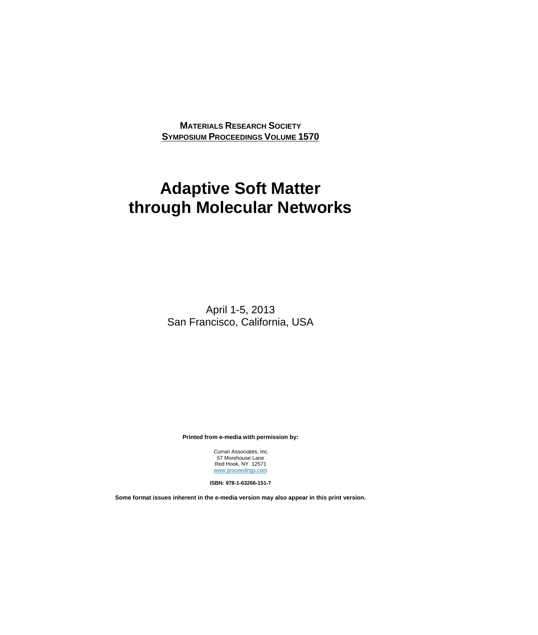**MATERIALS RESEARCH SOCIETY SYMPOSIUM PROCEEDINGS VOLUME 1570**

## **Adaptive Soft Matter through Molecular Networks**

April 1-5, 2013 San Francisco, California, USA

**Printed from e-media with permission by:** 

 Curran Associates, Inc. 57 Morehouse Lane Red Hook, NY 12571 www.proceedings.com

**ISBN: 978-1-63266-151-7** 

**Some format issues inherent in the e-media version may also appear in this print version.**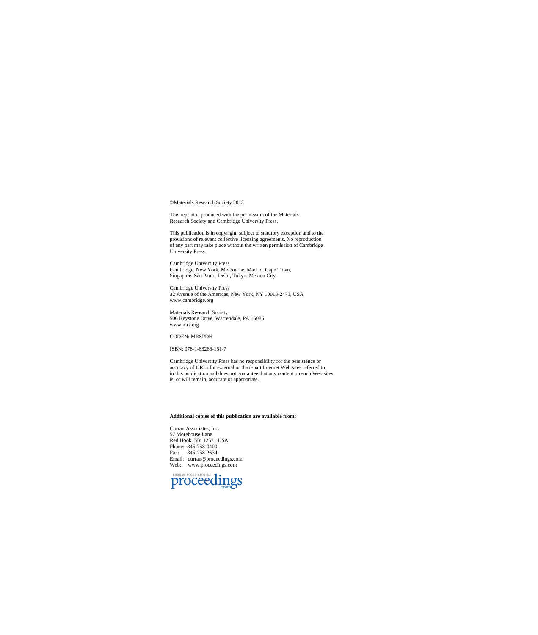©Materials Research Society 2013

This reprint is produced with the permission of the Materials Research Society and Cambridge University Press.

This publication is in copyright, subject to statutory exception and to the provisions of relevant collective licensing agreements. No reproduction of any part may take place without the written permission of Cambridge Uni

Cambridge University Press Cambridge, New York, Melbourne, Madrid, Cape Town, Singapore, São Paulo, Delhi, Tokyo, Mexico City

Cambridge University Press 32 Avenue of the Americas, New York, NY 10013-2473, USA www.cambridge.org

Materials Research Society 506 Keystone Drive, Warrendale, PA 15086 www.mrs.org

## CODEN: MRSPDH

ISBN: 978-1-63266-151-7

Cambridge University Press has no responsibility for the persistence or accuracy of URLs for external or third-part Internet Web sites referred to in this publication and does not guarantee that any content on such Web sites is, or will remain, accurate or appropriate.

## **Additional copies of this publication are available from:**

Curran Associates, Inc. 57 Morehouse Lane Red Hook, NY 12571 USA Phone: 845-758-0400 Fax: 845-758-2634 Email: curran@proceedings.com Web: www.proceedings.com